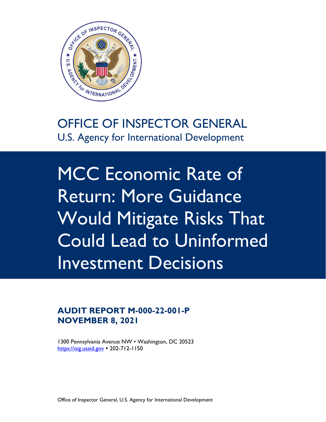

# OFFICE OF INSPECTOR GENERAL U.S. Agency for International Development

 Return: More Guidance MCC Economic Rate of Would Mitigate Risks That Could Lead to Uninformed Investment Decisions

### **NOVEMBER 8, 2021 AUDIT REPORT M-000-22-001-P**

 1300 Pennsylvania Avenue NW • Washington, DC 20523 <https://oig.usaid.gov> • 202-712-1150

Office of Inspector General, U.S. Agency for International Development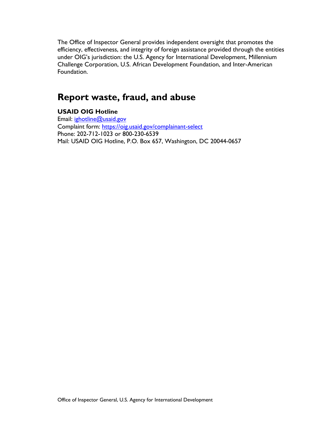Challenge Corporation, U.S. African Development Foundation, and Inter-American The Office of Inspector General provides independent oversight that promotes the efficiency, effectiveness, and integrity of foreign assistance provided through the entities under OIG's jurisdiction: the U.S. Agency for International Development, Millennium Foundation.

## **Report waste, fraud, and abuse**

### **USAID OIG Hotline**

Email:  $ignotline@usaid.gov$ Email: <u>ighotline@usaid.gov</u><br>Complaint form: <u>https://oig.usaid.gov/complainant-select</u><br>Phone: 202-712-1023 or 800-230-6539 Mail: USAID OIG Hotline, P.O. Box 657, Washington, DC 20044-0657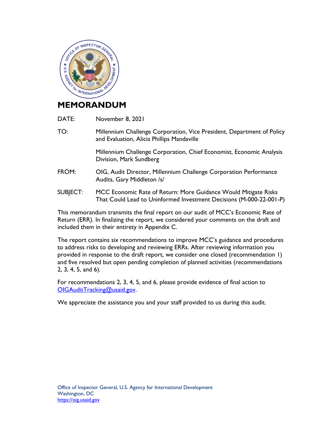

## **MEMORANDUM**

- DATE: November 8, 2021
- and Evaluation, Alicia Phillips Mandaville TO: Millennium Challenge Corporation, Vice President, Department of Policy

Millennium Challenge Corporation, Chief Economist, Economic Analysis Division, Mark Sundberg

- FROM: Audits, Gary Middleton /s/ OIG, Audit Director, Millennium Challenge Corporation Performance
- SUBJECT: MCC Economic Rate of Return: More Guidance Would Mitigate Risks That Could Lead to Uninformed Investment Decisions (M-000-22-001-P)

 This memorandum transmits the final report on our audit of MCC's Economic Rate of Return (ERR). In finalizing the report, we considered your comments on the draft and included them in their entirety in Appendix C.

The report contains six recommendations to improve MCC's guidance and procedures to address risks to developing and reviewing ERRs. After reviewing information you provided in response to the draft report, we consider one closed (recommendation 1) and five resolved but open pending completion of planned activities (recommendations 2, 3, 4, 5, and 6).

For recommendations 2, 3, 4, 5, and 6, please provide evidence of final action to [OIGAuditTracking@usaid.gov.](mailto:OIGAuditTracking@usaid.gov)

We appreciate the assistance you and your staff provided to us during this audit.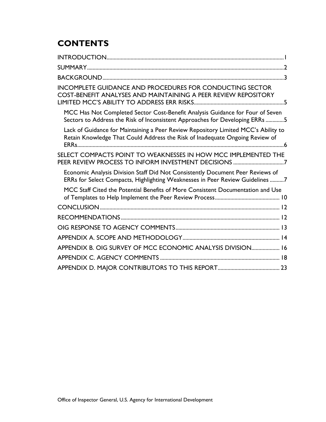## **CONTENTS**

| <b>INCOMPLETE GUIDANCE AND PROCEDURES FOR CONDUCTING SECTOR</b><br>COST-BENEFIT ANALYSES AND MAINTAINING A PEER REVIEW REPOSITORY                                  |
|--------------------------------------------------------------------------------------------------------------------------------------------------------------------|
| MCC Has Not Completed Sector Cost-Benefit Analysis Guidance for Four of Seven<br>Sectors to Address the Risk of Inconsistent Approaches for Developing ERRs 5      |
| Lack of Guidance for Maintaining a Peer Review Repository Limited MCC's Ability to<br>Retain Knowledge That Could Address the Risk of Inadequate Ongoing Review of |
| SELECT COMPACTS POINT TO WEAKNESSES IN HOW MCC IMPLEMENTED THE<br>PEER REVIEW PROCESS TO INFORM INVESTMENT DECISIONS 7                                             |
| Economic Analysis Division Staff Did Not Consistently Document Peer Reviews of<br>ERRs for Select Compacts, Highlighting Weaknesses in Peer Review Guidelines 7    |
| MCC Staff Cited the Potential Benefits of More Consistent Documentation and Use                                                                                    |
|                                                                                                                                                                    |
|                                                                                                                                                                    |
|                                                                                                                                                                    |
|                                                                                                                                                                    |
| APPENDIX B. OIG SURVEY OF MCC ECONOMIC ANALYSIS DIVISION 16                                                                                                        |
|                                                                                                                                                                    |
|                                                                                                                                                                    |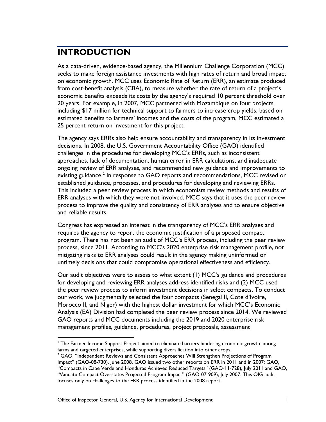## <span id="page-4-0"></span>**INTRODUCTION**

 from cost-benefit analysis (CBA), to measure whether the rate of return of a project's economic benefits exceeds its costs by the agency's required 10 percent threshold over 25 percent return on investment for this project. $^{\mathsf{I}}$ As a data-driven, evidence-based agency, the Millennium Challenge Corporation (MCC) seeks to make foreign assistance investments with high rates of return and broad impact on economic growth. MCC uses Economic Rate of Return (ERR), an estimate produced 20 years. For example, in 2007, MCC partnered with Mozambique on four projects, including \$17 million for technical support to farmers to increase crop yields; based on estimated benefits to farmers' incomes and the costs of the program, MCC estimated a

The agency says ERRs also help ensure accountability and transparency in its investment decisions. In 2008, the U.S. Government Accountability Office (GAO) identified challenges in the procedures for developing MCC's ERRs, such as inconsistent approaches, lack of documentation, human error in ERR calculations, and inadequate ongoing review of ERR analyses, and recommended new guidance and improvements to existing guidance.<sup>2</sup> In response to GAO reports and recommendations, MCC revised or established guidance, processes, and procedures for developing and reviewing ERRs. This included a peer review process in which economists review methods and results of ERR analyses with which they were not involved. MCC says that it uses the peer review process to improve the quality and consistency of ERR analyses and to ensure objective and reliable results.

 requires the agency to report the economic justification of a proposed compact Congress has expressed an interest in the transparency of MCC's ERR analyses and program. There has not been an audit of MCC's ERR process, including the peer review process, since 2011. According to MCC's 2020 enterprise risk management profile, not mitigating risks to ERR analyses could result in the agency making uninformed or untimely decisions that could compromise operational effectiveness and efficiency.

 the peer review process to inform investment decisions in select compacts. To conduct Morocco II, and Niger) with the highest dollar investment for which MCC's Economic management profiles, guidance, procedures, project proposals, assessment Our audit objectives were to assess to what extent (1) MCC's guidance and procedures for developing and reviewing ERR analyses address identified risks and (2) MCC used our work, we judgmentally selected the four compacts (Senegal II, Cote d'Ivoire, Analysis (EA) Division had completed the peer review process since 2014. We reviewed GAO reports and MCC documents including the 2019 and 2020 enterprise risk

<span id="page-4-1"></span><sup>&</sup>lt;sup>1</sup> The Farmer Income Support Project aimed to eliminate barriers hindering economic growth among farms and targeted enterprises, while supporting diversification into other crops.

<span id="page-4-2"></span> $^2$  GAO, "Independent Reviews and Consistent Approaches Will Strengthen Projections of Program Impact" (GAO-08-730), June 2008. GAO issued two other reports on ERR in 2011 and in 2007: GAO*,*  "Compacts in Cape Verde and Honduras Achieved Reduced Targets" (GAO-11-728), July 2011 and GAO, "Vanuatu Compact Overstates Projected Program Impact" (GAO-07-909), July 2007. This OIG audit focuses only on challenges to the ERR process identified in the 2008 report.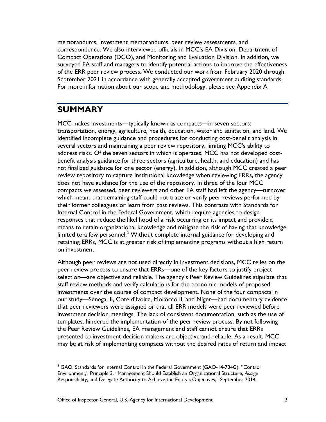memorandums, investment memorandums, peer review assessments, and correspondence. We also interviewed officials in MCC's EA Division, Department of Compact Operations (DCO), and Monitoring and Evaluation Division. In addition, we surveyed EA staff and managers to identify potential actions to improve the effectiveness of the ERR peer review process. We conducted our work from February 2020 through September 2021 in accordance with generally accepted government auditing standards. For more information about our scope and methodology, please see Appendix A.

### <span id="page-5-0"></span>**SUMMARY**

 several sectors and maintaining a peer review repository, limiting MCC's ability to not finalized guidance for one sector (energy). In addition, although MCC created a peer does not have guidance for the use of the repository. In three of the four MCC compacts we assessed, peer reviewers and other EA staff had left the agency—turnover means to retain organizational knowledge and mitigate the risk of having that knowledge retaining ERRs, MCC is at greater risk of implementing programs without a high return MCC makes investments—typically known as compacts—in seven sectors: transportation, energy, agriculture, health, education, water and sanitation, and land. We identified incomplete guidance and procedures for conducting cost-benefit analysis in address risks. Of the seven sectors in which it operates, MCC has not developed costbenefit analysis guidance for three sectors (agriculture, health, and education) and has review repository to capture institutional knowledge when reviewing ERRs, the agency which meant that remaining staff could not trace or verify peer reviews performed by their former colleagues or learn from past reviews. This contrasts with Standards for Internal Control in the Federal Government, which require agencies to design responses that reduce the likelihood of a risk occurring or its impact and provide a limited to a few personnel.<sup>[3](#page-5-1)</sup> Without complete internal guidance for developing and on investment.

 peer review process to ensure that ERRs—one of the key factors to justify project presented to investment decision makers are objective and reliable. As a result, MCC Although peer reviews are not used directly in investment decisions, MCC relies on the selection—are objective and reliable. The agency's Peer Review Guidelines stipulate that staff review methods and verify calculations for the economic models of proposed investments over the course of compact development. None of the four compacts in our study—Senegal II, Cote d'Ivoire, Morocco II, and Niger—had documentary evidence that peer reviewers were assigned or that all ERR models were peer reviewed before investment decision meetings. The lack of consistent documentation, such as the use of templates, hindered the implementation of the peer review process. By not following the Peer Review Guidelines, EA management and staff cannot ensure that ERRs may be at risk of implementing compacts without the desired rates of return and impact

<span id="page-5-1"></span><sup>&</sup>lt;sup>3</sup> GAO, Standards for Internal Control in the Federal Government (GAO-14-704G), "Control Environment," Principle 3, "Management Should Establish an Organizational Structure, Assign Responsibility, and Delegate Authority to Achieve the Entity's Objectives," September 2014.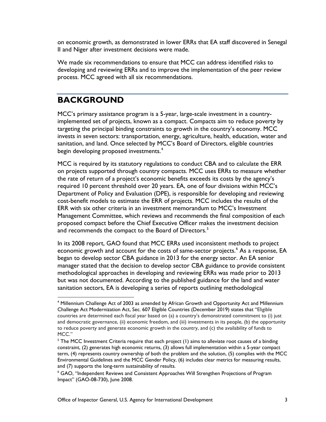on economic growth, as demonstrated in lower ERRs that EA staff discovered in Senegal II and Niger after investment decisions were made.

 We made six recommendations to ensure that MCC can address identified risks to developing and reviewing ERRs and to improve the implementation of the peer review process. MCC agreed with all six recommendations.

### <span id="page-6-0"></span>**BACKGROUND**

 implemented set of projects, known as a compact. Compacts aim to reduce poverty by sanitation, and land. Once selected by MCC's Board of Directors, eligible countries begin developing proposed investments. $^{\rm 4}$  $^{\rm 4}$  $^{\rm 4}$ MCC's primary assistance program is a 5-year, large-scale investment in a countrytargeting the principal binding constraints to growth in the country's economy. MCC invests in seven sectors: transportation, energy, agriculture, health, education, water and

 MCC is required by its statutory regulations to conduct CBA and to calculate the ERR cost-benefit models to estimate the ERR of projects. MCC includes the results of the on projects supported through country compacts. MCC uses ERRs to measure whether the rate of return of a project's economic benefits exceeds its costs by the agency's required 10 percent threshold over 20 years. EA, one of four divisions within MCC's Department of Policy and Evaluation (DPE), is responsible for developing and reviewing ERR with six other criteria in an investment memorandum to MCC's Investment Management Committee, which reviews and recommends the final composition of each proposed compact before the Chief Executive Officer makes the investment decision and recommends the compact to the Board of Directors.<sup>5</sup>

 In its 2008 report, GAO found that MCC ERRs used inconsistent methods to project manager stated that the decision to develop sector CBA guidance to provide consistent economic growth and account for the costs of same-sector projects.<sup>6</sup> As a response, EA began to develop sector CBA guidance in 2013 for the energy sector. An EA senior methodological approaches in developing and reviewing ERRs was made prior to 2013 but was not documented. According to the published guidance for the land and water sanitation sectors, EA is developing a series of reports outlining methodological

<span id="page-6-1"></span><sup>&</sup>lt;sup>4</sup> Millennium Challenge Act of 2003 as amended by African Growth and Opportunity Act and Millennium Challenge Act Modernization Act, Sec. 607 Eligible Countries (December 2019) states that "Eligible countries are determined each fiscal year based on (a) a country's demonstrated commitment to (i) just and democratic governance, (ii) economic freedom, and (iii) investments in its people, (b) the opportunity to reduce poverty and generate economic growth in the country, and (c) the availability of funds to MCC."

<span id="page-6-2"></span> $<sup>5</sup>$  The MCC Investment Criteria require that each project (1) aims to alleviate root causes of a binding</sup> constraint, (2) generates high economic returns, (3) allows full implementation within a 5-year compact term, (4) represents country ownership of both the problem and the solution, (5) complies with the MCC Environmental Guidelines and the MCC Gender Policy, (6) includes clear metrics for measuring results, and (7) supports the long-term sustainability of results.

<span id="page-6-3"></span>and (7) supports the long-term sustainability of results.<br><sup>6</sup> GAO, "Independent Reviews and Consistent Approaches Will Strengthen Projections of Program Impact" (GAO-08-730), June 2008.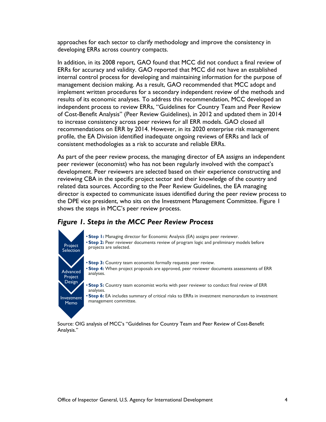approaches for each sector to clarify methodology and improve the consistency in developing ERRs across country compacts.

 internal control process for developing and maintaining information for the purpose of implement written procedures for a secondary independent review of the methods and to increase consistency across peer reviews for all ERR models. GAO closed all profile, the EA Division identified inadequate ongoing reviews of ERRs and lack of In addition, in its 2008 report, GAO found that MCC did not conduct a final review of ERRs for accuracy and validity. GAO reported that MCC did not have an established management decision making. As a result, GAO recommended that MCC adopt and results of its economic analyses. To address this recommendation, MCC developed an independent process to review ERRs, "Guidelines for Country Team and Peer Review of Cost-Benefit Analysis" (Peer Review Guidelines), in 2012 and updated them in 2014 recommendations on ERR by 2014. However, in its 2020 enterprise risk management consistent methodologies as a risk to accurate and reliable ERRs.

 As part of the peer review process, the managing director of EA assigns an independent reviewing CBA in the specific project sector and their knowledge of the country and the DPE vice president, who sits on the Investment Management Committee. Figure 1 peer reviewer (economist) who has not been regularly involved with the compact's development. Peer reviewers are selected based on their experience constructing and related data sources. According to the Peer Review Guidelines, the EA managing director is expected to communicate issues identified during the peer review process to shows the steps in MCC's peer review process.

### *Figure 1. Steps in the MCC Peer Review Process*



 • **Step 1:** Managing director for Economic Analysis (EA) assigns peer reviewer. • **Step 2:** Peer reviewer documents review of program logic and preliminary models before projects are selected.

 • **Step 3:** Country team economist formally requests peer review. • **Step 4:** When project proposals are approved, peer reviewer documents assessments of ERR analyses.

 • **Step 5:** Country team economist works with peer reviewer to conduct final review of ERR analyses.

 • **Step 6:** EA includes summary of critical risks to ERRs in investment memorandum to investment management committee.

 Source: OIG analysis of MCC's "Guidelines for Country Team and Peer Review of Cost-Benefit Analysis."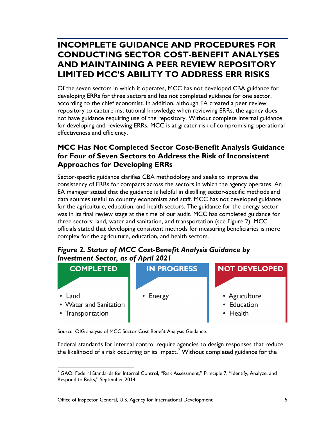## <span id="page-8-0"></span> **INCOMPLETE GUIDANCE AND PROCEDURES FOR LIMITED MCC'S ABILITY TO ADDRESS ERR RISKS CONDUCTING SECTOR COST-BENEFIT ANALYSES AND MAINTAINING A PEER REVIEW REPOSITORY**

 Of the seven sectors in which it operates, MCC has not developed CBA guidance for according to the chief economist. In addition, although EA created a peer review developing ERRs for three sectors and has not completed guidance for one sector, repository to capture institutional knowledge when reviewing ERRs, the agency does not have guidance requiring use of the repository. Without complete internal guidance for developing and reviewing ERRs, MCC is at greater risk of compromising operational effectiveness and efficiency.

### <span id="page-8-1"></span>**MCC Has Not Completed Sector Cost-Benefit Analysis Guidance for Four of Seven Sectors to Address the Risk of Inconsistent Approaches for Developing ERRs**

 consistency of ERRs for compacts across the sectors in which the agency operates. An Sector-specific guidance clarifies CBA methodology and seeks to improve the EA manager stated that the guidance is helpful in distilling sector-specific methods and data sources useful to country economists and staff. MCC has not developed guidance for the agriculture, education, and health sectors. The guidance for the energy sector was in its final review stage at the time of our audit. MCC has completed guidance for three sectors: land, water and sanitation, and transportation (see Figure 2). MCC officials stated that developing consistent methods for measuring beneficiaries is more complex for the agriculture, education, and health sectors.

### *Figure 2. Status of MCC Cost-Benefit Analysis Guidance by Investment Sector, as of April 2021*



Source: OIG analysis of MCC Sector Cost-Benefit Analysis Guidance.

Federal standards for internal control require agencies to design responses that reduce the likelihood of a risk occurring or its impact.<sup>[7](#page-8-2)</sup> Without completed guidance for the

<span id="page-8-2"></span> $^7$  GAO, Federal Standards for Internal Control, "Risk Assessment," Principle 7, "Identify, Analyze, and Respond to Risks," September 2014.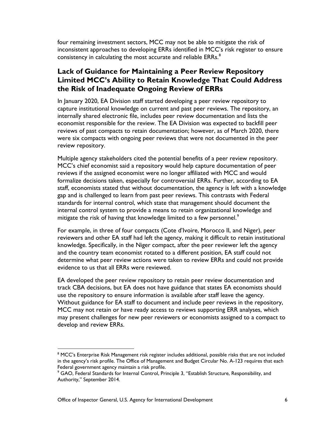four remaining investment sectors, MCC may not be able to mitigate the risk of inconsistent approaches to developing ERRs identified in MCC's risk register to ensure consistency in calculating the most accurate and reliable ERRs.<sup>8</sup>

### <span id="page-9-0"></span>**Lack of Guidance for Maintaining a Peer Review Repository Limited MCC's Ability to Retain Knowledge That Could Address the Risk of Inadequate Ongoing Review of ERRs**

 were six compacts with ongoing peer reviews that were not documented in the peer In January 2020, EA Division staff started developing a peer review repository to capture institutional knowledge on current and past peer reviews. The repository, an internally shared electronic file, includes peer review documentation and lists the economist responsible for the review. The EA Division was expected to backfill peer reviews of past compacts to retain documentation; however, as of March 2020, there review repository.

 Multiple agency stakeholders cited the potential benefits of a peer review repository. standards for internal control, which state that management should document the MCC's chief economist said a repository would help capture documentation of peer reviews if the assigned economist were no longer affiliated with MCC and would formalize decisions taken, especially for controversial ERRs. Further, according to EA staff, economists stated that without documentation, the agency is left with a knowledge gap and is challenged to learn from past peer reviews. This contrasts with Federal internal control system to provide a means to retain organizational knowledge and mitigate the risk of having that knowledge limited to a few personnel.<sup>9</sup>

 reviewers and other EA staff had left the agency, making it difficult to retain institutional knowledge. Specifically, in the Niger compact, after the peer reviewer left the agency For example, in three of four compacts (Cote d'Ivoire, Morocco II, and Niger), peer and the country team economist rotated to a different position, EA staff could not determine what peer review actions were taken to review ERRs and could not provide evidence to us that all ERRs were reviewed.

 MCC may not retain or have ready access to reviews supporting ERR analyses, which develop and review ERRs. develop and review ERRs. 8 MCC's Enterprise Risk Management risk register includes additional, possible risks that are not included EA developed the peer review repository to retain peer review documentation and track CBA decisions, but EA does not have guidance that states EA economists should use the repository to ensure information is available after staff leave the agency. Without guidance for EA staff to document and include peer reviews in the repository, may present challenges for new peer reviewers or economists assigned to a compact to

<span id="page-9-1"></span> in the agency's risk profile. The Office of Management and Budget Circular No. A-123 requires that each Federal government agency maintain a risk profile.

<span id="page-9-2"></span> $^9$  GAO, Federal Standards for Internal Control, Principle 3, "Establish Structure, Responsibility, and Authority," September 2014.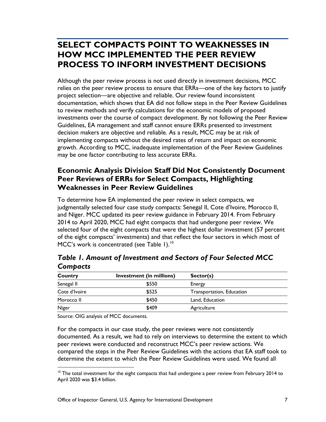### <span id="page-10-0"></span> **PROCESS TO INFORM INVESTMENT DECISIONS SELECT COMPACTS POINT TO WEAKNESSES IN HOW MCC IMPLEMENTED THE PEER REVIEW**

 implementing compacts without the desired rates of return and impact on economic Although the peer review process is not used directly in investment decisions, MCC relies on the peer review process to ensure that ERRs—one of the key factors to justify project selection—are objective and reliable. Our review found inconsistent documentation, which shows that EA did not follow steps in the Peer Review Guidelines to review methods and verify calculations for the economic models of proposed investments over the course of compact development. By not following the Peer Review Guidelines, EA management and staff cannot ensure ERRs presented to investment decision makers are objective and reliable. As a result, MCC may be at risk of growth. According to MCC, inadequate implementation of the Peer Review Guidelines may be one factor contributing to less accurate ERRs.

### <span id="page-10-1"></span>**Economic Analysis Division Staff Did Not Consistently Document Peer Reviews of ERRs for Select Compacts, Highlighting Weaknesses in Peer Review Guidelines**

 2014 to April 2020, MCC had eight compacts that had undergone peer review. We selected four of the eight compacts that were the highest dollar investment (57 percent of the eight compacts' investments) and that reflect the four sectors in which most of To determine how EA implemented the peer review in select compacts, we judgmentally selected four case study compacts: Senegal II, Cote d'Ivoire, Morocco II, and Niger. MCC updated its peer review guidance in February 2014. From February MCC's work is concentrated (see Table 1). $10$ 

| ----------    |                          |                           |  |  |
|---------------|--------------------------|---------------------------|--|--|
| Country       | Investment (in millions) | Sector(s)                 |  |  |
| Senegal II    | \$550                    | Energy                    |  |  |
| Cote d'Ivoire | \$525                    | Transportation, Education |  |  |
| Morocco II    | \$450                    | Land, Education           |  |  |
| Niger         | \$409                    | Agriculture               |  |  |

*Table 1. Amount of Investment and Sectors of Four Selected MCC Compacts* 

Source: OIG analysis of MCC documents.

 documented. As a result, we had to rely on interviews to determine the extent to which compared the steps in the Peer Review Guidelines with the actions that EA staff took to For the compacts in our case study, the peer reviews were not consistently peer reviews were conducted and reconstruct MCC's peer review actions. We determine the extent to which the Peer Review Guidelines were used. We found all

<span id="page-10-2"></span><sup>&</sup>lt;sup>10</sup> The total investment for the eight compacts that had undergone a peer review from February 2014 to April 2020 was \$3.4 billion.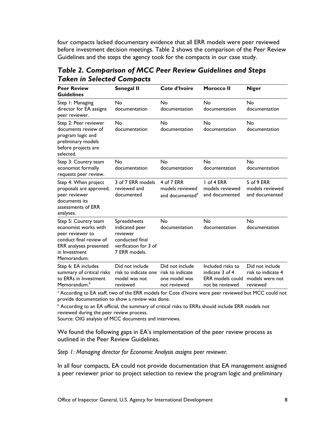four compacts lacked documentary evidence that all ERR models were peer reviewed before investment decision meetings. Table 2 shows the comparison of the Peer Review Guidelines and the steps the agency took for the compacts in our case study.

| <b>Peer Review</b><br><b>Guidelines</b>                                                                                                               | <b>Senegal II</b>                                                                                       | Cote d'Ivoire                                                        | <b>Morocco II</b>                                                                  | <b>Niger</b>                                                         |
|-------------------------------------------------------------------------------------------------------------------------------------------------------|---------------------------------------------------------------------------------------------------------|----------------------------------------------------------------------|------------------------------------------------------------------------------------|----------------------------------------------------------------------|
| Step 1: Managing<br>director for EA assigns<br>peer reviewer.                                                                                         | No<br>documentation                                                                                     | No<br>documentation                                                  | No<br>documentation                                                                | <b>No</b><br>documentation                                           |
| Step 2: Peer reviewer<br>documents review of<br>program logic and<br>preliminary models<br>before projects are<br>selected.                           | No<br>documentation                                                                                     | No<br>documentation                                                  | No<br>documentation                                                                | <b>No</b><br>documentation                                           |
| Step 3: Country team<br>economist formally<br>requests peer review.                                                                                   | No<br>documentation                                                                                     | No<br>documentation                                                  | <b>No</b><br>documentation                                                         | <b>No</b><br>documentation                                           |
| Step 4: When project<br>proposals are approved,<br>peer reviewer<br>documents its<br>assessments of ERR<br>analyses.                                  | 3 of 7 ERR models<br>reviewed and<br>documented                                                         | 4 of 7 ERR<br>models reviewed<br>and documented <sup>a</sup>         | $I$ of 4 ERR<br>models reviewed<br>and documented                                  | 5 of 9 ERR<br>models reviewed<br>and documented                      |
| Step 5: Country team<br>economist works with<br>peer reviewer to<br>conduct final review of<br>ERR analyses presented<br>in Investment<br>Memorandum. | Spreadsheets<br>indicated peer<br>reviewer<br>conducted final<br>verification for 3 of<br>7 ERR models. | No<br>documentation                                                  | No<br>documentation                                                                | No<br>documentation                                                  |
| Step 6: EA includes<br>summary of critical risks<br>to ERRs in Investment<br>Memorandum. <sup>b</sup>                                                 | Did not include<br>risk to indicate one<br>model was not<br>reviewed                                    | Did not include<br>risk to indicate<br>one model was<br>not reviewed | Included risks to<br>indicate 3 of 4<br><b>ERR</b> models could<br>not be reviewed | Did not include<br>risk to indicate 4<br>models were not<br>reviewed |

*Table 2. Comparison of MCC Peer Review Guidelines and Steps Taken in Selected Compacts* 

<sup>a</sup> According to EA staff, two of the ERR models for Cote d'Ivoire were peer reviewed but MCC could not provide documentation to show a review was done.

 $^{\rm b}$  According to an EA official, the summary of critical risks to ERRs should include ERR models not reviewed during the peer review process.

Source: OIG analysis of MCC documents and interviews.

We found the following gaps in EA's implementation of the peer review process as outlined in the Peer Review Guidelines.

*Step 1: Managing director for Economic Analysis assigns peer reviewer.* 

In all four compacts, EA could not provide documentation that EA management assigned a peer reviewer prior to project selection to review the program logic and preliminary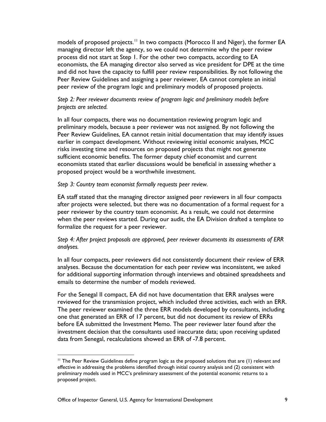economists, the EA managing director also served as vice president for DPE at the time and did not have the capacity to fulfill peer review responsibilities. By not following the Peer Review Guidelines and assigning a peer reviewer, EA cannot complete an initial models of proposed projects.<sup>11</sup> In two compacts (Morocco II and Niger), the former EA managing director left the agency, so we could not determine why the peer review process did not start at Step 1. For the other two compacts, according to EA peer review of the program logic and preliminary models of proposed projects.

#### *Step 2: Peer reviewer documents review of program logic and preliminary models before projects are selected.*

 preliminary models, because a peer reviewer was not assigned. By not following the sufficient economic benefits. The former deputy chief economist and current In all four compacts, there was no documentation reviewing program logic and Peer Review Guidelines, EA cannot retain initial documentation that may identify issues earlier in compact development. Without reviewing initial economic analyses, MCC risks investing time and resources on proposed projects that might not generate economists stated that earlier discussions would be beneficial in assessing whether a proposed project would be a worthwhile investment.

#### *Step 3: Country team economist formally requests peer review.*

 when the peer reviews started. During our audit, the EA Division drafted a template to EA staff stated that the managing director assigned peer reviewers in all four compacts after projects were selected, but there was no documentation of a formal request for a peer reviewer by the country team economist. As a result, we could not determine formalize the request for a peer reviewer.

#### *Step 4: After project proposals are approved, peer reviewer documents its assessments of ERR analyses.*

 analyses. Because the documentation for each peer review was inconsistent, we asked In all four compacts, peer reviewers did not consistently document their review of ERR for additional supporting information through interviews and obtained spreadsheets and emails to determine the number of models reviewed.

For the Senegal II compact, EA did not have documentation that ERR analyses were reviewed for the transmission project, which included three activities, each with an ERR. The peer reviewer examined the three ERR models developed by consultants, including one that generated an ERR of 17 percent, but did not document its review of ERRs before EA submitted the Investment Memo. The peer reviewer later found after the investment decision that the consultants used inaccurate data; upon receiving updated data from Senegal, recalculations showed an ERR of -7.8 percent.

<span id="page-12-0"></span><sup>&</sup>lt;sup>11</sup> The Peer Review Guidelines define program logic as the proposed solutions that are (1) relevant and effective in addressing the problems identified through initial country analysis and (2) consistent with preliminary models used in MCC's preliminary assessment of the potential economic returns to a proposed project.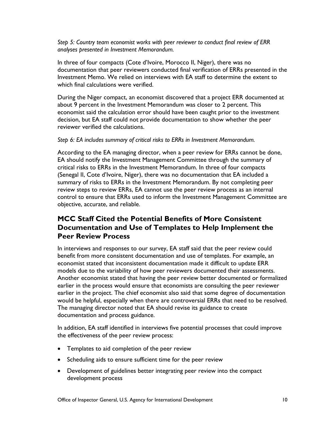*Step 5: Country team economist works with peer reviewer to conduct final review of ERR analyses presented in Investment Memorandum.* 

 In three of four compacts (Cote d'Ivoire, Morocco II, Niger), there was no Investment Memo. We relied on interviews with EA staff to determine the extent to documentation that peer reviewers conducted final verification of ERRs presented in the which final calculations were verified.

 During the Niger compact, an economist discovered that a project ERR documented at about 9 percent in the Investment Memorandum was closer to 2 percent. This economist said the calculation error should have been caught prior to the investment decision, but EA staff could not provide documentation to show whether the peer reviewer verified the calculations.

#### *Step 6: EA includes summary of critical risks to ERRs in Investment Memorandum.*

 critical risks to ERRs in the Investment Memorandum. In three of four compacts According to the EA managing director, when a peer review for ERRs cannot be done, EA should notify the Investment Management Committee through the summary of (Senegal II, Cote d'Ivoire, Niger), there was no documentation that EA included a summary of risks to ERRs in the Investment Memorandum. By not completing peer review steps to review ERRs, EA cannot use the peer review process as an internal control to ensure that ERRs used to inform the Investment Management Committee are objective, accurate, and reliable.

### <span id="page-13-0"></span>**MCC Staff Cited the Potential Benefits of More Consistent Documentation and Use of Templates to Help Implement the Peer Review Process**

 economist stated that inconsistent documentation made it difficult to update ERR models due to the variability of how peer reviewers documented their assessments. Another economist stated that having the peer review better documented or formalized In interviews and responses to our survey, EA staff said that the peer review could benefit from more consistent documentation and use of templates. For example, an earlier in the process would ensure that economists are consulting the peer reviewer earlier in the project. The chief economist also said that some degree of documentation would be helpful, especially when there are controversial ERRs that need to be resolved. The managing director noted that EA should revise its guidance to create documentation and process guidance.

In addition, EA staff identified in interviews five potential processes that could improve the effectiveness of the peer review process:

- Templates to aid completion of the peer review
- Scheduling aids to ensure sufficient time for the peer review
- Development of guidelines better integrating peer review into the compact development process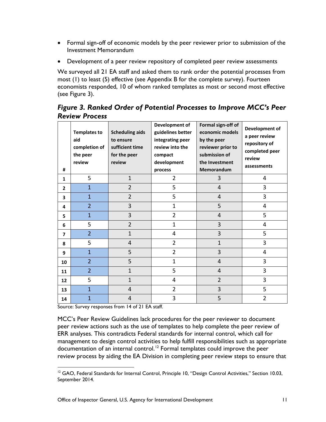- • Formal sign-off of economic models by the peer reviewer prior to submission of the Investment Memorandum
- Development of a peer review repository of completed peer review assessments

 most (1) to least (5) effective (see Appendix B for the complete survey). Fourteen We surveyed all 21 EA staff and asked them to rank order the potential processes from economists responded, 10 of whom ranked templates as most or second most effective (see Figure 3).

 *Figure 3. Ranked Order of Potential Processes to Improve MCC's Peer Review Process* 

| #                       | <b>Templates to</b><br>aid<br>completion of<br>the peer<br>review | <b>Scheduling aids</b><br>to ensure<br>sufficient time<br>for the peer<br>review | Development of<br>guidelines better<br>integrating peer<br>review into the<br>compact<br>development<br>process | Formal sign-off of<br>economic models<br>by the peer<br>reviewer prior to<br>submission of<br>the Investment<br>Memorandum | Development of<br>a peer review<br>repository of<br>completed peer<br>review<br>assessments |
|-------------------------|-------------------------------------------------------------------|----------------------------------------------------------------------------------|-----------------------------------------------------------------------------------------------------------------|----------------------------------------------------------------------------------------------------------------------------|---------------------------------------------------------------------------------------------|
| $\mathbf{1}$            | 5                                                                 | $\mathbf{1}$                                                                     | $\overline{2}$                                                                                                  | 3                                                                                                                          | 4                                                                                           |
| $\overline{2}$          | $\mathbf{1}$                                                      | $\overline{2}$                                                                   | 5                                                                                                               | 4                                                                                                                          | 3                                                                                           |
| 3                       | $\mathbf{1}$                                                      | $\overline{2}$                                                                   | 5                                                                                                               | 4                                                                                                                          | 3                                                                                           |
| 4                       | $\overline{2}$                                                    | $\overline{3}$                                                                   | $\mathbf{1}$                                                                                                    | 5                                                                                                                          | 4                                                                                           |
| 5                       | $\overline{1}$                                                    | 3                                                                                | $\overline{2}$                                                                                                  | $\overline{4}$                                                                                                             | 5                                                                                           |
| 6                       | 5                                                                 | $\overline{2}$                                                                   | $\mathbf{1}$                                                                                                    | 3                                                                                                                          | 4                                                                                           |
| $\overline{\mathbf{z}}$ | $\overline{2}$                                                    | $\mathbf{1}$                                                                     | 4                                                                                                               | 3                                                                                                                          | 5                                                                                           |
| 8                       | 5                                                                 | $\overline{4}$                                                                   | $\overline{2}$                                                                                                  | $\mathbf{1}$                                                                                                               | 3                                                                                           |
| 9                       | $\mathbf{1}$                                                      | 5                                                                                | $\overline{2}$                                                                                                  | 3                                                                                                                          | 4                                                                                           |
| 10                      | $\overline{2}$                                                    | 5                                                                                | $\mathbf 1$                                                                                                     | 4                                                                                                                          | 3                                                                                           |
| 11                      | $\overline{2}$                                                    | $\mathbf{1}$                                                                     | 5                                                                                                               | 4                                                                                                                          | 3                                                                                           |
| 12                      | 5                                                                 | $\mathbf{1}$                                                                     | $\overline{4}$                                                                                                  | $\overline{2}$                                                                                                             | 3                                                                                           |
| 13                      | $\overline{1}$                                                    | 4                                                                                | $\overline{2}$                                                                                                  | 3                                                                                                                          | 5                                                                                           |
| 14                      | $\overline{1}$                                                    | 4                                                                                | 3                                                                                                               | 5                                                                                                                          | $\overline{2}$                                                                              |

Source: Survey responses from 14 of 21 EA staff.

 ERR analyses. This contradicts Federal standards for internal control, which call for MCC's Peer Review Guidelines lack procedures for the peer reviewer to document peer review actions such as the use of templates to help complete the peer review of management to design control activities to help fulfill responsibilities such as appropriate documentation of an internal control.<sup>[12](#page-14-0)</sup> Formal templates could improve the peer review process by aiding the EA Division in completing peer review steps to ensure that

<span id="page-14-0"></span><sup>&</sup>lt;sup>12</sup> GAO, Federal Standards for Internal Control, Principle 10, "Design Control Activities," Section 10.03, September 2014.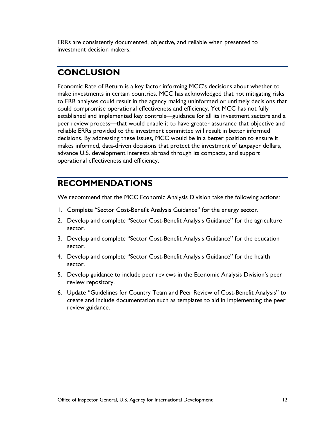investment decision makers. ERRs are consistently documented, objective, and reliable when presented to

### <span id="page-15-0"></span>**CONCLUSION**

 peer review process—that would enable it to have greater assurance that objective and makes informed, data-driven decisions that protect the investment of taxpayer dollars, advance U.S. development interests abroad through its compacts, and support Economic Rate of Return is a key factor informing MCC's decisions about whether to make investments in certain countries. MCC has acknowledged that not mitigating risks to ERR analyses could result in the agency making uninformed or untimely decisions that could compromise operational effectiveness and efficiency. Yet MCC has not fully established and implemented key controls—guidance for all its investment sectors and a reliable ERRs provided to the investment committee will result in better informed decisions. By addressing these issues, MCC would be in a better position to ensure it operational effectiveness and efficiency.

### <span id="page-15-1"></span>**RECOMMENDATIONS**

We recommend that the MCC Economic Analysis Division take the following actions:

- 1. Complete "Sector Cost-Benefit Analysis Guidance" for the energy sector.
- 2. Develop and complete "Sector Cost-Benefit Analysis Guidance" for the agriculture sector.
- 3. Develop and complete "Sector Cost-Benefit Analysis Guidance" for the education sector.
- 4. Develop and complete "Sector Cost-Benefit Analysis Guidance" for the health sector.
- 5. Develop guidance to include peer reviews in the Economic Analysis Division's peer review repository.
- create and include documentation such as templates to aid in implementing the peer 6. Update "Guidelines for Country Team and Peer Review of Cost-Benefit Analysis" to review guidance.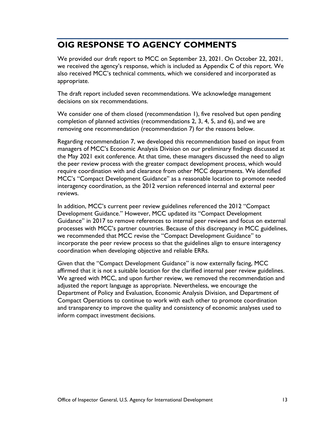## <span id="page-16-0"></span>**OIG RESPONSE TO AGENCY COMMENTS**

We provided our draft report to MCC on September 23, 2021. On October 22, 2021, we received the agency's response, which is included as Appendix C of this report. We also received MCC's technical comments, which we considered and incorporated as appropriate.

The draft report included seven recommendations. We acknowledge management decisions on six recommendations.

 removing one recommendation (recommendation 7) for the reasons below. We consider one of them closed (recommendation 1), five resolved but open pending completion of planned activities (recommendations 2, 3, 4, 5, and 6), and we are

 the May 2021 exit conference. At that time, these managers discussed the need to align Regarding recommendation 7, we developed this recommendation based on input from managers of MCC's Economic Analysis Division on our preliminary findings discussed at the peer review process with the greater compact development process, which would require coordination with and clearance from other MCC departments. We identified MCC's "Compact Development Guidance" as a reasonable location to promote needed interagency coordination, as the 2012 version referenced internal and external peer reviews.

 we recommended that MCC revise the "Compact Development Guidance" to In addition, MCC's current peer review guidelines referenced the 2012 "Compact Development Guidance." However, MCC updated its "Compact Development Guidance" in 2017 to remove references to internal peer reviews and focus on external processes with MCC's partner countries. Because of this discrepancy in MCC guidelines, incorporate the peer review process so that the guidelines align to ensure interagency coordination when developing objective and reliable ERRs.

 Given that the "Compact Development Guidance" is now externally facing, MCC We agreed with MCC, and upon further review, we removed the recommendation and Compact Operations to continue to work with each other to promote coordination inform compact investment decisions. affirmed that it is not a suitable location for the clarified internal peer review guidelines. adjusted the report language as appropriate. Nevertheless, we encourage the Department of Policy and Evaluation, Economic Analysis Division, and Department of and transparency to improve the quality and consistency of economic analyses used to inform compact investment decisions.<br>
office of Inspector General, U.S. Agency for International Development<br>
13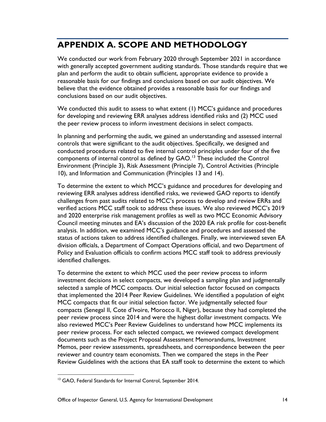## <span id="page-17-0"></span> **APPENDIX A. SCOPE AND METHODOLOGY**

We conducted our work from February 2020 through September 2021 in accordance with generally accepted government auditing standards. Those standards require that we plan and perform the audit to obtain sufficient, appropriate evidence to provide a reasonable basis for our findings and conclusions based on our audit objectives. We believe that the evidence obtained provides a reasonable basis for our findings and conclusions based on our audit objectives.

 We conducted this audit to assess to what extent (1) MCC's guidance and procedures the peer review process to inform investment decisions in select compacts. for developing and reviewing ERR analyses address identified risks and (2) MCC used

In planning and performing the audit, we gained an understanding and assessed internal controls that were significant to the audit objectives. Specifically, we designed and conducted procedures related to five internal control principles under four of the five components of internal control as defined by GAO.<sup>[13](#page-17-1)</sup> These included the Control Environment (Principle 3), Risk Assessment (Principle 7), Control Activities (Principle 10), and Information and Communication (Principles 13 and 14).

 To determine the extent to which MCC's guidance and procedures for developing and and 2020 enterprise risk management profiles as well as two MCC Economic Advisory reviewing ERR analyses address identified risks, we reviewed GAO reports to identify challenges from past audits related to MCC's process to develop and review ERRs and verified actions MCC staff took to address these issues. We also reviewed MCC's 2019 Council meeting minutes and EA's discussion of the 2020 EA risk profile for cost-benefit analysis. In addition, we examined MCC's guidance and procedures and assessed the status of actions taken to address identified challenges. Finally, we interviewed seven EA division officials, a Department of Compact Operations official, and two Department of Policy and Evaluation officials to confirm actions MCC staff took to address previously identified challenges.

 investment decisions in select compacts, we developed a sampling plan and judgmentally compacts (Senegal II, Cote d'Ivoire, Morocco II, Niger), because they had completed the peer review process since 2014 and were the highest dollar investment compacts. We also reviewed MCC's Peer Review Guidelines to understand how MCC implements its To determine the extent to which MCC used the peer review process to inform selected a sample of MCC compacts. Our initial selection factor focused on compacts that implemented the 2014 Peer Review Guidelines. We identified a population of eight MCC compacts that fit our initial selection factor. We judgmentally selected four peer review process. For each selected compact, we reviewed compact development documents such as the Project Proposal Assessment Memorandums, Investment Memos, peer review assessments, spreadsheets, and correspondence between the peer reviewer and country team economists. Then we compared the steps in the Peer Review Guidelines with the actions that EA staff took to determine the extent to which

<span id="page-17-1"></span><sup>&</sup>lt;sup>13</sup> GAO, Federal Standards for Internal Control, September 2014.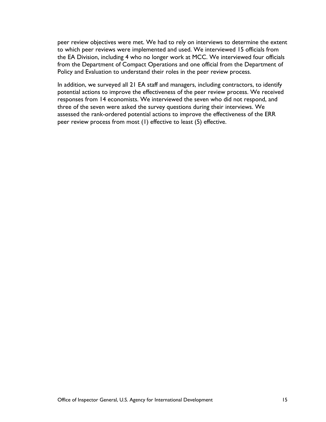peer review objectives were met. We had to rely on interviews to determine the extent from the Department of Compact Operations and one official from the Department of to which peer reviews were implemented and used. We interviewed 15 officials from the EA Division, including 4 who no longer work at MCC. We interviewed four officials Policy and Evaluation to understand their roles in the peer review process.

 responses from 14 economists. We interviewed the seven who did not respond, and peer review process from most (1) effective to least (5) effective. In addition, we surveyed all 21 EA staff and managers, including contractors, to identify potential actions to improve the effectiveness of the peer review process. We received three of the seven were asked the survey questions during their interviews. We assessed the rank-ordered potential actions to improve the effectiveness of the ERR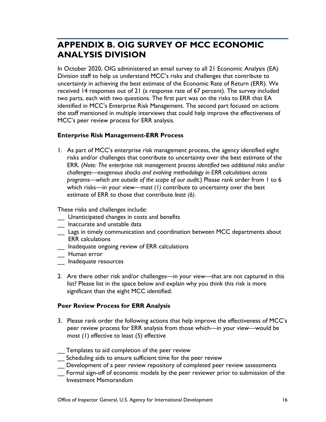## <span id="page-19-0"></span>**APPENDIX B. OIG SURVEY OF MCC ECONOMIC ANALYSIS DIVISION**

 Division staff to help us understand MCC's risks and challenges that contribute to two parts, each with two questions. The first part was on the risks to ERR that EA In October 2020, OIG administered an email survey to all 21 Economic Analysis (EA) uncertainty in achieving the best estimate of the Economic Rate of Return (ERR). We received 14 responses out of 21 (a response rate of 67 percent). The survey included identified in MCC's Enterprise Risk Management. The second part focused on actions the staff mentioned in multiple interviews that could help improve the effectiveness of MCC's peer review process for ERR analysis.

#### **Enterprise Risk Management-ERR Process**

 1. As part of MCC's enterprise risk management process, the agency identified eight  *challenges—exogenous shocks and evolving methodology in ERR calculations across*  estimate of ERR to those that contribute *least (6)*. These risks and challenges include: risks and/or challenges that contribute to uncertainty over the best estimate of the ERR. (*Note: The enterprise risk management process identified two additional risks and/or programs—which are outside of the scope of our audit.*) Please rank order from 1 to 6 which risks—in your view—*most (1)* contribute to uncertainty over the best

- \_\_ Unanticipated changes in costs and benefits
- \_\_ Inaccurate and unstable data
- \_\_ Lags in timely communication and coordination between MCC departments about ERR calculations
- \_\_ Inadequate ongoing review of ERR calculations
- \_\_ Human error
- \_\_ Inadequate resources
- 2. Are there other risk and/or challenges—in your view—that are not captured in this list? Please list in the space below and explain why you think this risk is more significant than the eight MCC identified.

#### **Peer Review Process for ERR Analysis**

 most (1) effective to least (5) effective 3. Please rank order the following actions that help improve the effectiveness of MCC's peer review process for ERR analysis from those which—in your view—would be

\_\_ Templates to aid completion of the peer review

- Scheduling aids to ensure sufficient time for the peer review
- \_\_ Development of a peer review repository of completed peer review assessments
- Formal sign-off of economic models by the peer reviewer prior to submission of the Investment Memorandum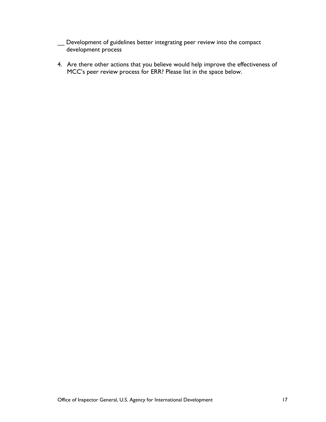- \_\_ Development of guidelines better integrating peer review into the compact -<br>development process
- 4. Are there other actions that you believe would help improve the effectiveness of MCC's peer review process for ERR? Please list in the space below.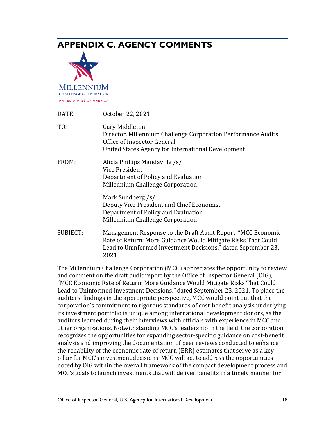## <span id="page-21-0"></span>**APPENDIX C. AGENCY COMMENTS**



| DATE:    | October 22, 2021                                                                                                                                                                                       |
|----------|--------------------------------------------------------------------------------------------------------------------------------------------------------------------------------------------------------|
| TO:      | Gary Middleton<br>Director, Millennium Challenge Corporation Performance Audits<br>Office of Inspector General<br>United States Agency for International Development                                   |
| FROM:    | Alicia Phillips Mandaville /s/<br>Vice President<br>Department of Policy and Evaluation<br>Millennium Challenge Corporation                                                                            |
|          | Mark Sundberg /s/<br>Deputy Vice President and Chief Economist<br>Department of Policy and Evaluation<br>Millennium Challenge Corporation                                                              |
| SUBJECT: | Management Response to the Draft Audit Report, "MCC Economic<br>Rate of Return: More Guidance Would Mitigate Risks That Could<br>Lead to Uninformed Investment Decisions," dated September 23,<br>2021 |

 The Millennium Challenge Corporation (MCC) appreciates the opportunity to review corporation's commitment to rigorous standards of cost-benefit analysis underlying noted by OIG within the overall framework of the compact development process and and comment on the draft audit report by the Office of Inspector General (OIG), "MCC Economic Rate of Return: More Guidance Would Mitigate Risks That Could Lead to Uninformed Investment Decisions,*"* dated September 23, 2021. To place the auditors' findings in the appropriate perspective, MCC would point out that the its investment portfolio is unique among international development donors, as the auditors learned during their interviews with officials with experience in MCC and other organizations. Notwithstanding MCC's leadership in the field, the corporation recognizes the opportunities for expanding sector-specific guidance on cost-benefit analysis and improving the documentation of peer reviews conducted to enhance the reliability of the economic rate of return (ERR) estimates that serve as a key pillar for MCC's investment decisions. MCC will act to address the opportunities MCC's goals to launch investments that will deliver benefits in a timely manner for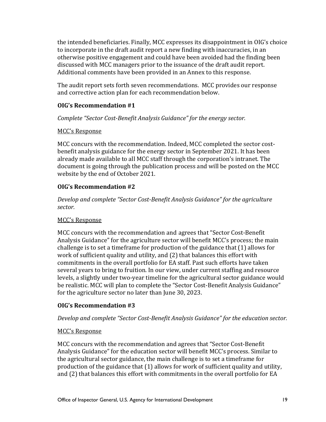the intended beneficiaries. Finally, MCC expresses its disappointment in OIG's choice to incorporate in the draft audit report a new finding with inaccuracies, in an otherwise positive engagement and could have been avoided had the finding been discussed with MCC managers prior to the issuance of the draft audit report. Additional comments have been provided in an Annex to this response.

The audit report sets forth seven recommendations. MCC provides our response and corrective action plan for each recommendation below.

### **OIG's Recommendation #1**

*Complete "Sector Cost-Benefit Analysis Guidance" for the energy sector.* 

### MCC's Response

 website by the end of October 2021. MCC concurs with the recommendation. Indeed, MCC completed the sector costbenefit analysis guidance for the energy sector in September 2021. It has been already made available to all MCC staff through the corporation's intranet. The document is going through the publication process and will be posted on the MCC

### **OIG's Recommendation #2**

*Develop and complete "Sector Cost-Benefit Analysis Guidance" for the agriculture sector.* 

#### MCC's Response

 Analysis Guidance" for the agriculture sector will benefit MCC's process; the main several years to bring to fruition. In our view, under current staffing and resource MCC concurs with the recommendation and agrees that "Sector Cost-Benefit challenge is to set a timeframe for production of the guidance that (1) allows for work of sufficient quality and utility, and (2) that balances this effort with commitments in the overall portfolio for EA staff. Past such efforts have taken levels, a slightly under two-year timeline for the agricultural sector guidance would be realistic. MCC will plan to complete the "Sector Cost-Benefit Analysis Guidance" for the agriculture sector no later than June 30, 2023.

### **OIG's Recommendation #3**

*Develop and complete "Sector Cost-Benefit Analysis Guidance" for the education sector.* 

### MCC's Response

 Analysis Guidance" for the education sector will benefit MCC's process. Similar to the agricultural sector guidance, the main challenge is to set a timeframe for MCC concurs with the recommendation and agrees that "Sector Cost-Benefit production of the guidance that (1) allows for work of sufficient quality and utility, and (2) that balances this effort with commitments in the overall portfolio for EA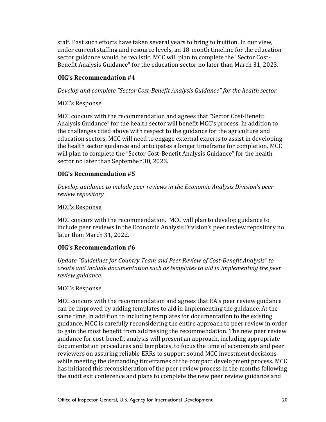staff. Past such efforts have taken several years to bring to fruition. In our view, under current staffing and resource levels, an 18-month timeline for the education sector guidance would be realistic. MCC will plan to complete the "Sector Cost-Benefit Analysis Guidance" for the education sector no later than March 31, 2023.

### **OIG's Recommendation #4**

*Develop and complete "Sector Cost-Benefit Analysis Guidance" for the health sector.* 

#### MCC's Response

 Analysis Guidance" for the health sector will benefit MCC's process. In addition to MCC concurs with the recommendation and agrees that "Sector Cost-Benefit the challenges cited above with respect to the guidance for the agriculture and education sectors, MCC will need to engage external experts to assist in developing the health sector guidance and anticipates a longer timeframe for completion. MCC will plan to complete the "Sector Cost-Benefit Analysis Guidance" for the health sector no later than September 30, 2023.

### **OIG's Recommendation #5**

*Develop guidance to include peer reviews in the Economic Analysis Division's peer review repository* 

#### MCC's Response

MCC concurs with the recommendation. MCC will plan to develop guidance to include peer reviews in the Economic Analysis Division's peer review repository no later than March 31, 2022.

### **OIG's Recommendation #6**

*Update "Guidelines for Country Team and Peer Review of Cost-Benefit Analysis" to create and include documentation such as templates to aid in implementing the peer review guidance.* 

#### MCC's Response

 to gain the most benefit from addressing the recommendation. The new peer review documentation procedures and templates, to focus the time of economists and peer MCC concurs with the recommendation and agrees that EA's peer review guidance can be improved by adding templates to aid in implementing the guidance. At the same time, in addition to including templates for documentation to the existing guidance, MCC is carefully reconsidering the entire approach to peer review in order guidance for cost-benefit analysis will present an approach, including appropriate reviewers on assuring reliable ERRs to support sound MCC investment decisions while meeting the demanding timeframes of the compact development process. MCC has initiated this reconsideration of the peer review process in the months following the audit exit conference and plans to complete the new peer review guidance and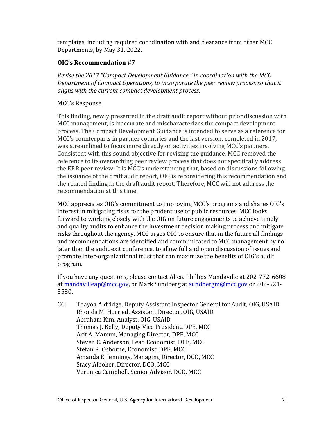templates, including required coordination with and clearance from other MCC Departments, by May 31, 2022.

### **OIG's Recommendation #7**

 *aligns with the current compact development process. Revise the 2017 "Compact Development Guidance," in coordination with the MCC Department of Compact Operations, to incorporate the peer review process so that it* 

### MCC's Response

 was streamlined to focus more directly on activities involving MCC's partners. the related finding in the draft audit report. Therefore, MCC will not address the This finding, newly presented in the draft audit report without prior discussion with MCC management, is inaccurate and mischaracterizes the compact development process. The Compact Development Guidance is intended to serve as a reference for MCC's counterparts in partner countries and the last version, completed in 2017, Consistent with this sound objective for revising the guidance, MCC removed the reference to its overarching peer review process that does not specifically address the ERR peer review. It is MCC's understanding that, based on discussions following the issuance of the draft audit report, OIG is reconsidering this recommendation and recommendation at this time.

 MCC appreciates OIG's commitment to improving MCC's programs and shares OIG's later than the audit exit conference, to allow full and open discussion of issues and program. interest in mitigating risks for the prudent use of public resources. MCC looks forward to working closely with the OIG on future engagements to achieve timely and quality audits to enhance the investment decision making process and mitigate risks throughout the agency. MCC urges OIG to ensure that in the future all findings and recommendations are identified and communicated to MCC management by no promote inter-organizational trust that can maximize the benefits of OIG's audit

3580. If you have any questions, please contact Alicia Phillips Mandaville at 202-772-6608 at [mandavilleap@mcc.gov,](mailto:mandavilleap@mcc.gov) or Mark Sundberg at [sundbergm@mcc.gov o](mailto:sundbergm@mcc.gov)r 202-521-

3580.<br>CC: Toayoa Aldridge, Deputy Assistant Inspector General for Audit, OIG, USAID Steven C. Anderson, Lead Economist, DPE, MCC Rhonda M. Horried, Assistant Director, OIG, USAID Abraham Kim, Analyst, OIG, USAID Thomas J. Kelly, Deputy Vice President, DPE, MCC Arif A. Mamun, Managing Director, DPE, MCC Stefan R. Osborne, Economist, DPE, MCC Amanda E. Jennings, Managing Director, DCO, MCC Stacy Alboher, Director, DCO, MCC Veronica Campbell, Senior Advisor, DCO, MCC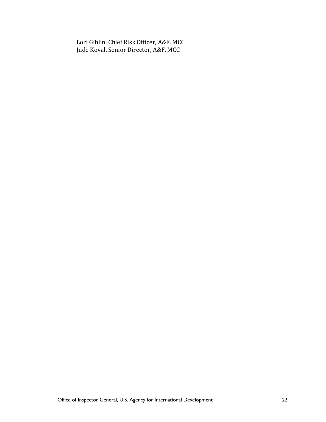Lori Giblin, Chief Risk Officer, A&F, MCC Jude Koval, Senior Director, A&F, MCC